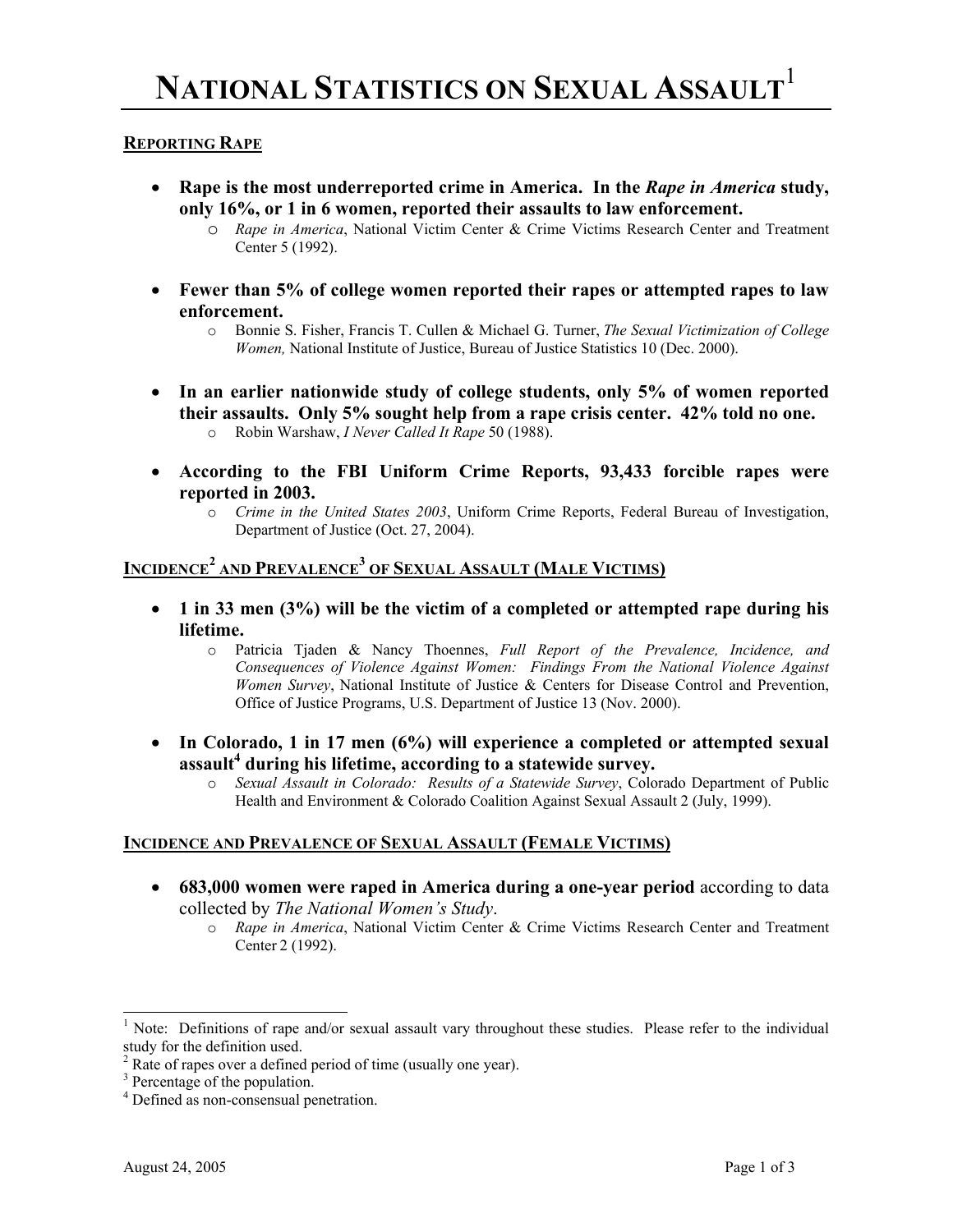#### **REPORTING RAPE**

- **Rape is the most underreported crime in America. In the** *Rape in America* **study, only 16%, or 1 in 6 women, reported their assaults to law enforcement.** 
	- o *Rape in America*, National Victim Center & Crime Victims Research Center and Treatment Center 5 (1992).
- **Fewer than 5% of college women reported their rapes or attempted rapes to law enforcement.** 
	- o Bonnie S. Fisher, Francis T. Cullen & Michael G. Turner, *The Sexual Victimization of College Women,* National Institute of Justice, Bureau of Justice Statistics 10 (Dec. 2000).
- **In an earlier nationwide study of college students, only 5% of women reported their assaults. Only 5% sought help from a rape crisis center. 42% told no one.**  o Robin Warshaw, *I Never Called It Rape* 50 (1988).
- **According to the FBI Uniform Crime Reports, 93,433 forcible rapes were reported in 2003.** 
	- o *Crime in the United States 2003*, Uniform Crime Reports, Federal Bureau of Investigation, Department of Justice (Oct. 27, 2004).

# **INCIDENCE<sup>2</sup> AND PREVALENCE<sup>3</sup> OF SEXUAL ASSAULT (MALE VICTIMS)**

- **1 in 33 men (3%) will be the victim of a completed or attempted rape during his lifetime.**
	- o Patricia Tjaden & Nancy Thoennes, *Full Report of the Prevalence, Incidence, and Consequences of Violence Against Women: Findings From the National Violence Against Women Survey*, National Institute of Justice & Centers for Disease Control and Prevention, Office of Justice Programs, U.S. Department of Justice 13 (Nov. 2000).
- **In Colorado, 1 in 17 men (6%) will experience a completed or attempted sexual**  assault<sup>4</sup> during his lifetime, according to a statewide survey.
	- o *Sexual Assault in Colorado: Results of a Statewide Survey*, Colorado Department of Public Health and Environment & Colorado Coalition Against Sexual Assault 2 (July, 1999).

#### **INCIDENCE AND PREVALENCE OF SEXUAL ASSAULT (FEMALE VICTIMS)**

- **683,000 women were raped in America during a one-year period** according to data collected by *The National Women's Study*.
	- o *Rape in America*, National Victim Center & Crime Victims Research Center and Treatment Center 2 (1992).

 $\overline{\phantom{a}}$ 

<sup>&</sup>lt;sup>1</sup> Note: Definitions of rape and/or sexual assault vary throughout these studies. Please refer to the individual study for the definition used.

<sup>&</sup>lt;sup>2</sup> Rate of rapes over a defined period of time (usually one year).

<sup>&</sup>lt;sup>3</sup> Percentage of the population.

<sup>4</sup> Defined as non-consensual penetration.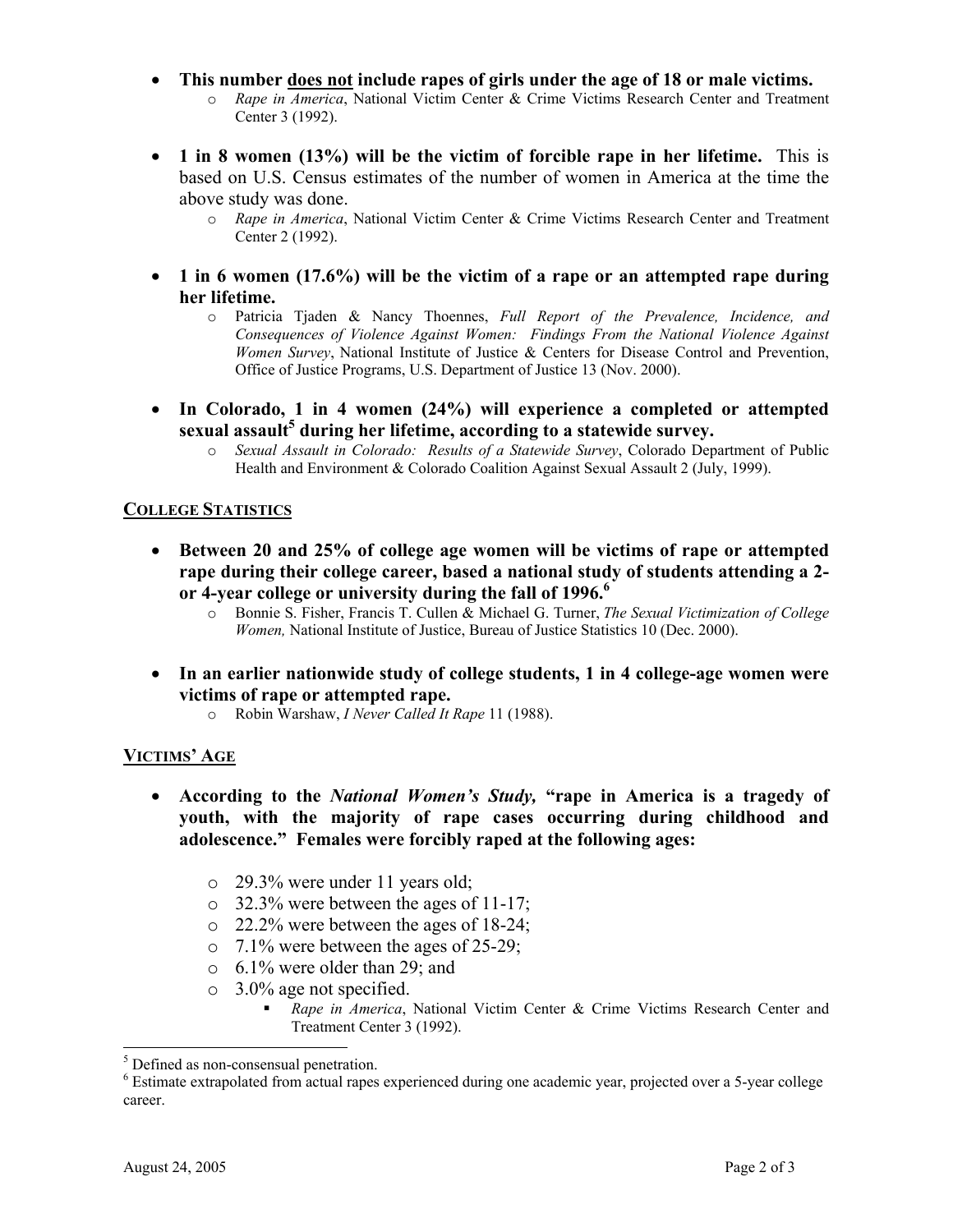- **This number does not include rapes of girls under the age of 18 or male victims.**  o *Rape in America*, National Victim Center & Crime Victims Research Center and Treatment Center 3 (1992).
- **1 in 8 women (13%) will be the victim of forcible rape in her lifetime.** This is based on U.S. Census estimates of the number of women in America at the time the above study was done.
	- o *Rape in America*, National Victim Center & Crime Victims Research Center and Treatment Center 2 (1992).
- **1 in 6 women (17.6%) will be the victim of a rape or an attempted rape during her lifetime.**
	- o Patricia Tjaden & Nancy Thoennes, *Full Report of the Prevalence, Incidence, and Consequences of Violence Against Women: Findings From the National Violence Against Women Survey*, National Institute of Justice & Centers for Disease Control and Prevention, Office of Justice Programs, U.S. Department of Justice 13 (Nov. 2000).
- **In Colorado, 1 in 4 women (24%) will experience a completed or attempted**  sexual assault<sup>5</sup> during her lifetime, according to a statewide survey.
	- o *Sexual Assault in Colorado: Results of a Statewide Survey*, Colorado Department of Public Health and Environment & Colorado Coalition Against Sexual Assault 2 (July, 1999).

### **COLLEGE STATISTICS**

- **Between 20 and 25% of college age women will be victims of rape or attempted rape during their college career, based a national study of students attending a 2 or 4-year college or university during the fall of 1996.6** 
	- o Bonnie S. Fisher, Francis T. Cullen & Michael G. Turner, *The Sexual Victimization of College Women,* National Institute of Justice, Bureau of Justice Statistics 10 (Dec. 2000).
- **In an earlier nationwide study of college students, 1 in 4 college-age women were victims of rape or attempted rape.** 
	- o Robin Warshaw, *I Never Called It Rape* 11 (1988).

## **VICTIMS' AGE**

- **According to the** *National Women's Study,* **"rape in America is a tragedy of youth, with the majority of rape cases occurring during childhood and adolescence." Females were forcibly raped at the following ages:** 
	- o 29.3% were under 11 years old;
	- o 32.3% were between the ages of 11-17;
	- o 22.2% were between the ages of 18-24;
	- $\circ$  7.1% were between the ages of 25-29;
	- o 6.1% were older than 29; and
	- o 3.0% age not specified.
		- *Rape in America*, National Victim Center & Crime Victims Research Center and Treatment Center 3 (1992).

 $\overline{a}$ 

<sup>&</sup>lt;sup>5</sup> Defined as non-consensual penetration.

<sup>&</sup>lt;sup>6</sup> Estimate extrapolated from actual rapes experienced during one academic year, projected over a 5-year college career.